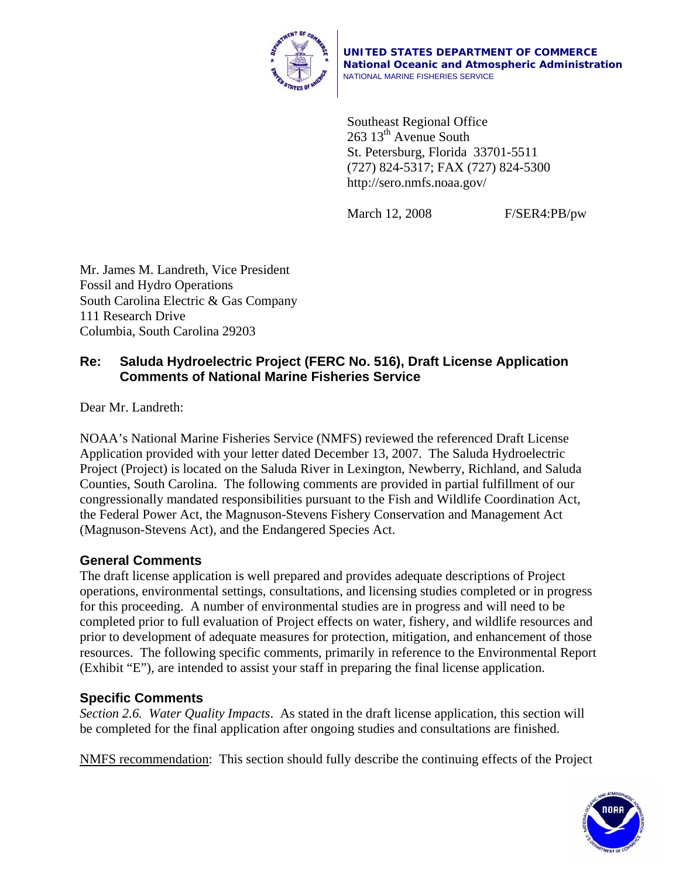

**UNITED STATES DEPARTMENT OF COMMERCE National Oceanic and Atmospheric Administration** NATIONAL MARINE FISHERIES SERVICE

Southeast Regional Office 263 13<sup>th</sup> Avenue South St. Petersburg, Florida 33701-5511 (727) 824-5317; FAX (727) 824-5300 http://sero.nmfs.noaa.gov/

March 12, 2008 F/SER4:PB/pw

Mr. James M. Landreth, Vice President Fossil and Hydro Operations South Carolina Electric & Gas Company 111 Research Drive Columbia, South Carolina 29203

# **Re: Saluda Hydroelectric Project (FERC No. 516), Draft License Application Comments of National Marine Fisheries Service**

Dear Mr. Landreth:

NOAA's National Marine Fisheries Service (NMFS) reviewed the referenced Draft License Application provided with your letter dated December 13, 2007. The Saluda Hydroelectric Project (Project) is located on the Saluda River in Lexington, Newberry, Richland, and Saluda Counties, South Carolina. The following comments are provided in partial fulfillment of our congressionally mandated responsibilities pursuant to the Fish and Wildlife Coordination Act, the Federal Power Act, the Magnuson-Stevens Fishery Conservation and Management Act (Magnuson-Stevens Act), and the Endangered Species Act.

## **General Comments**

The draft license application is well prepared and provides adequate descriptions of Project operations, environmental settings, consultations, and licensing studies completed or in progress for this proceeding. A number of environmental studies are in progress and will need to be completed prior to full evaluation of Project effects on water, fishery, and wildlife resources and prior to development of adequate measures for protection, mitigation, and enhancement of those resources. The following specific comments, primarily in reference to the Environmental Report (Exhibit "E"), are intended to assist your staff in preparing the final license application.

## **Specific Comments**

*Section 2.6. Water Quality Impacts*. As stated in the draft license application, this section will be completed for the final application after ongoing studies and consultations are finished.

NMFS recommendation: This section should fully describe the continuing effects of the Project

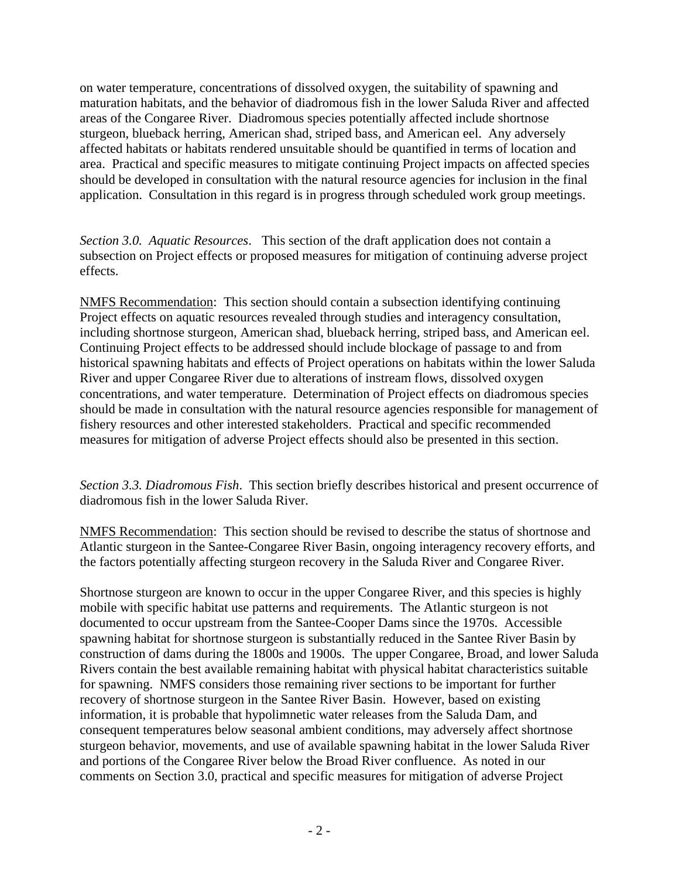on water temperature, concentrations of dissolved oxygen, the suitability of spawning and maturation habitats, and the behavior of diadromous fish in the lower Saluda River and affected areas of the Congaree River. Diadromous species potentially affected include shortnose sturgeon, blueback herring, American shad, striped bass, and American eel. Any adversely affected habitats or habitats rendered unsuitable should be quantified in terms of location and area. Practical and specific measures to mitigate continuing Project impacts on affected species should be developed in consultation with the natural resource agencies for inclusion in the final application. Consultation in this regard is in progress through scheduled work group meetings.

*Section 3.0. Aquatic Resources*. This section of the draft application does not contain a subsection on Project effects or proposed measures for mitigation of continuing adverse project effects.

NMFS Recommendation: This section should contain a subsection identifying continuing Project effects on aquatic resources revealed through studies and interagency consultation, including shortnose sturgeon, American shad, blueback herring, striped bass, and American eel. Continuing Project effects to be addressed should include blockage of passage to and from historical spawning habitats and effects of Project operations on habitats within the lower Saluda River and upper Congaree River due to alterations of instream flows, dissolved oxygen concentrations, and water temperature. Determination of Project effects on diadromous species should be made in consultation with the natural resource agencies responsible for management of fishery resources and other interested stakeholders. Practical and specific recommended measures for mitigation of adverse Project effects should also be presented in this section.

*Section 3.3. Diadromous Fish*. This section briefly describes historical and present occurrence of diadromous fish in the lower Saluda River.

NMFS Recommendation: This section should be revised to describe the status of shortnose and Atlantic sturgeon in the Santee-Congaree River Basin, ongoing interagency recovery efforts, and the factors potentially affecting sturgeon recovery in the Saluda River and Congaree River.

Shortnose sturgeon are known to occur in the upper Congaree River, and this species is highly mobile with specific habitat use patterns and requirements. The Atlantic sturgeon is not documented to occur upstream from the Santee-Cooper Dams since the 1970s. Accessible spawning habitat for shortnose sturgeon is substantially reduced in the Santee River Basin by construction of dams during the 1800s and 1900s. The upper Congaree, Broad, and lower Saluda Rivers contain the best available remaining habitat with physical habitat characteristics suitable for spawning. NMFS considers those remaining river sections to be important for further recovery of shortnose sturgeon in the Santee River Basin. However, based on existing information, it is probable that hypolimnetic water releases from the Saluda Dam, and consequent temperatures below seasonal ambient conditions, may adversely affect shortnose sturgeon behavior, movements, and use of available spawning habitat in the lower Saluda River and portions of the Congaree River below the Broad River confluence. As noted in our comments on Section 3.0, practical and specific measures for mitigation of adverse Project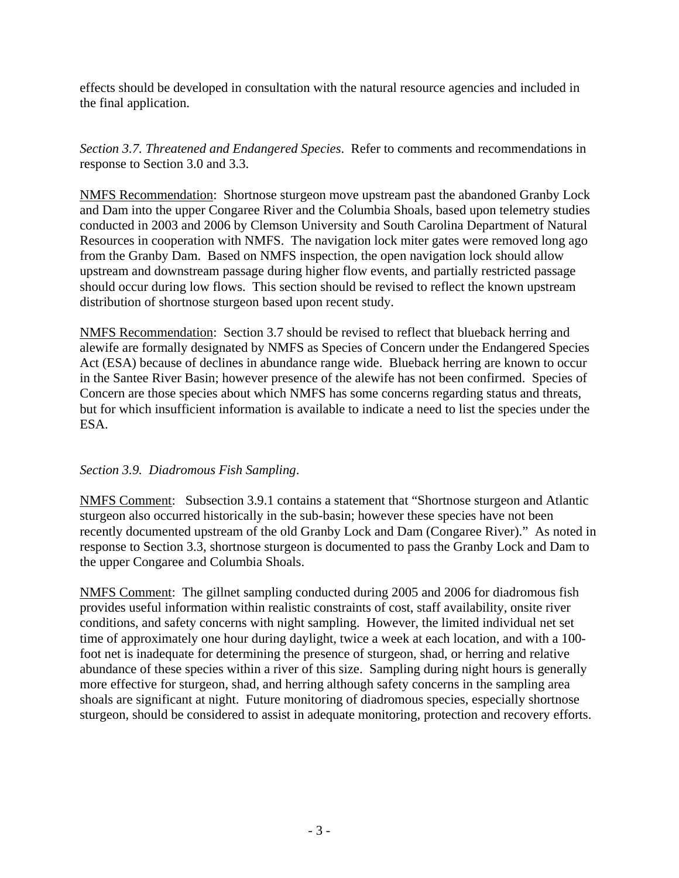effects should be developed in consultation with the natural resource agencies and included in the final application.

*Section 3.7. Threatened and Endangered Species*. Refer to comments and recommendations in response to Section 3.0 and 3.3.

NMFS Recommendation: Shortnose sturgeon move upstream past the abandoned Granby Lock and Dam into the upper Congaree River and the Columbia Shoals, based upon telemetry studies conducted in 2003 and 2006 by Clemson University and South Carolina Department of Natural Resources in cooperation with NMFS. The navigation lock miter gates were removed long ago from the Granby Dam. Based on NMFS inspection, the open navigation lock should allow upstream and downstream passage during higher flow events, and partially restricted passage should occur during low flows. This section should be revised to reflect the known upstream distribution of shortnose sturgeon based upon recent study.

NMFS Recommendation: Section 3.7 should be revised to reflect that blueback herring and alewife are formally designated by NMFS as Species of Concern under the Endangered Species Act (ESA) because of declines in abundance range wide. Blueback herring are known to occur in the Santee River Basin; however presence of the alewife has not been confirmed. Species of Concern are those species about which NMFS has some concerns regarding status and threats, but for which insufficient information is available to indicate a need to list the species under the ESA.

### *Section 3.9. Diadromous Fish Sampling*.

NMFS Comment: Subsection 3.9.1 contains a statement that "Shortnose sturgeon and Atlantic sturgeon also occurred historically in the sub-basin; however these species have not been recently documented upstream of the old Granby Lock and Dam (Congaree River)." As noted in response to Section 3.3, shortnose sturgeon is documented to pass the Granby Lock and Dam to the upper Congaree and Columbia Shoals.

NMFS Comment: The gillnet sampling conducted during 2005 and 2006 for diadromous fish provides useful information within realistic constraints of cost, staff availability, onsite river conditions, and safety concerns with night sampling. However, the limited individual net set time of approximately one hour during daylight, twice a week at each location, and with a 100 foot net is inadequate for determining the presence of sturgeon, shad, or herring and relative abundance of these species within a river of this size. Sampling during night hours is generally more effective for sturgeon, shad, and herring although safety concerns in the sampling area shoals are significant at night. Future monitoring of diadromous species, especially shortnose sturgeon, should be considered to assist in adequate monitoring, protection and recovery efforts.